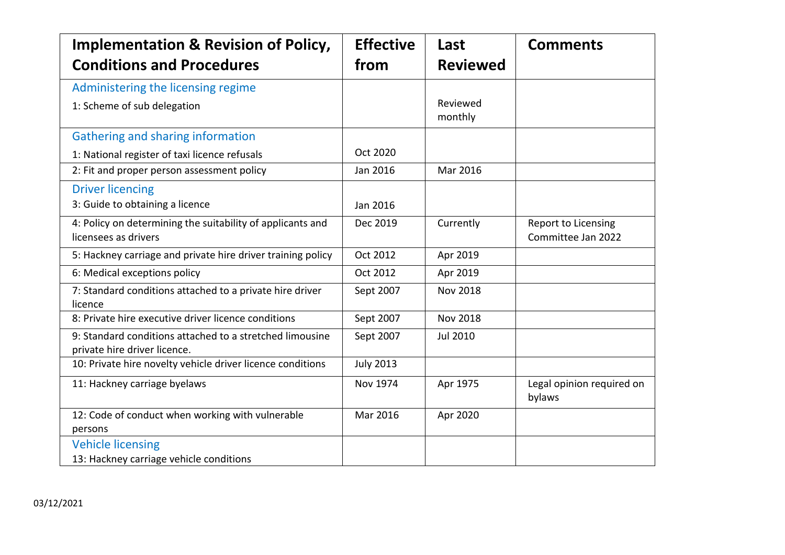| <b>Implementation &amp; Revision of Policy,</b>                                          | <b>Effective</b> | Last                | <b>Comments</b>                           |
|------------------------------------------------------------------------------------------|------------------|---------------------|-------------------------------------------|
| <b>Conditions and Procedures</b>                                                         | from             | <b>Reviewed</b>     |                                           |
| Administering the licensing regime                                                       |                  |                     |                                           |
| 1: Scheme of sub delegation                                                              |                  | Reviewed<br>monthly |                                           |
| Gathering and sharing information                                                        |                  |                     |                                           |
| 1: National register of taxi licence refusals                                            | Oct 2020         |                     |                                           |
| 2: Fit and proper person assessment policy                                               | Jan 2016         | Mar 2016            |                                           |
| <b>Driver licencing</b>                                                                  |                  |                     |                                           |
| 3: Guide to obtaining a licence                                                          | Jan 2016         |                     |                                           |
| 4: Policy on determining the suitability of applicants and<br>licensees as drivers       | Dec 2019         | Currently           | Report to Licensing<br>Committee Jan 2022 |
| 5: Hackney carriage and private hire driver training policy                              | Oct 2012         | Apr 2019            |                                           |
| 6: Medical exceptions policy                                                             | Oct 2012         | Apr 2019            |                                           |
| 7: Standard conditions attached to a private hire driver<br>licence                      | Sept 2007        | <b>Nov 2018</b>     |                                           |
| 8: Private hire executive driver licence conditions                                      | Sept 2007        | <b>Nov 2018</b>     |                                           |
| 9: Standard conditions attached to a stretched limousine<br>private hire driver licence. | Sept 2007        | <b>Jul 2010</b>     |                                           |
| 10: Private hire novelty vehicle driver licence conditions                               | <b>July 2013</b> |                     |                                           |
| 11: Hackney carriage byelaws                                                             | <b>Nov 1974</b>  | Apr 1975            | Legal opinion required on<br>bylaws       |
| 12: Code of conduct when working with vulnerable<br>persons                              | Mar 2016         | Apr 2020            |                                           |
| <b>Vehicle licensing</b>                                                                 |                  |                     |                                           |
| 13: Hackney carriage vehicle conditions                                                  |                  |                     |                                           |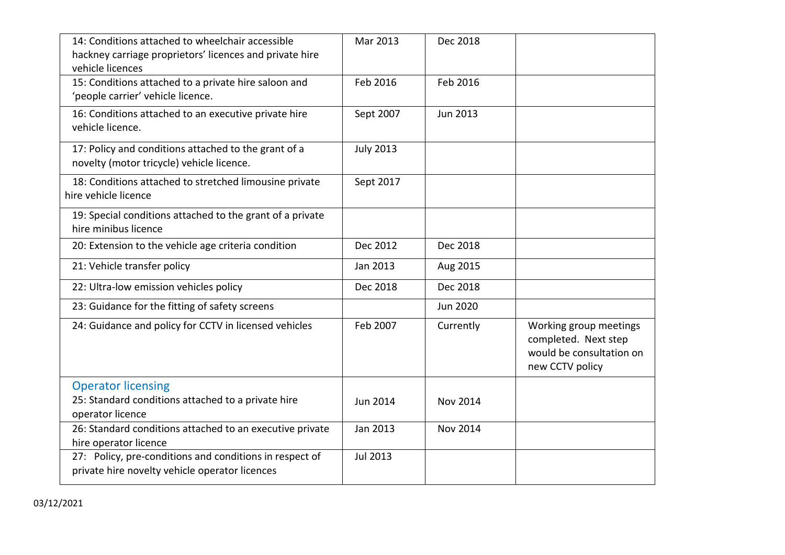| 14: Conditions attached to wheelchair accessible<br>hackney carriage proprietors' licences and private hire<br>vehicle licences | Mar 2013         | Dec 2018        |                                                                                               |
|---------------------------------------------------------------------------------------------------------------------------------|------------------|-----------------|-----------------------------------------------------------------------------------------------|
| 15: Conditions attached to a private hire saloon and<br>'people carrier' vehicle licence.                                       | Feb 2016         | Feb 2016        |                                                                                               |
| 16: Conditions attached to an executive private hire<br>vehicle licence.                                                        | Sept 2007        | Jun 2013        |                                                                                               |
| 17: Policy and conditions attached to the grant of a<br>novelty (motor tricycle) vehicle licence.                               | <b>July 2013</b> |                 |                                                                                               |
| 18: Conditions attached to stretched limousine private<br>hire vehicle licence                                                  | Sept 2017        |                 |                                                                                               |
| 19: Special conditions attached to the grant of a private<br>hire minibus licence                                               |                  |                 |                                                                                               |
| 20: Extension to the vehicle age criteria condition                                                                             | Dec 2012         | Dec 2018        |                                                                                               |
| 21: Vehicle transfer policy                                                                                                     | Jan 2013         | Aug 2015        |                                                                                               |
| 22: Ultra-low emission vehicles policy                                                                                          | Dec 2018         | Dec 2018        |                                                                                               |
| 23: Guidance for the fitting of safety screens                                                                                  |                  | <b>Jun 2020</b> |                                                                                               |
| 24: Guidance and policy for CCTV in licensed vehicles                                                                           | Feb 2007         | Currently       | Working group meetings<br>completed. Next step<br>would be consultation on<br>new CCTV policy |
| <b>Operator licensing</b>                                                                                                       |                  |                 |                                                                                               |
| 25: Standard conditions attached to a private hire<br>operator licence                                                          | Jun 2014         | <b>Nov 2014</b> |                                                                                               |
| 26: Standard conditions attached to an executive private<br>hire operator licence                                               | Jan 2013         | <b>Nov 2014</b> |                                                                                               |
| 27: Policy, pre-conditions and conditions in respect of<br>private hire novelty vehicle operator licences                       | <b>Jul 2013</b>  |                 |                                                                                               |